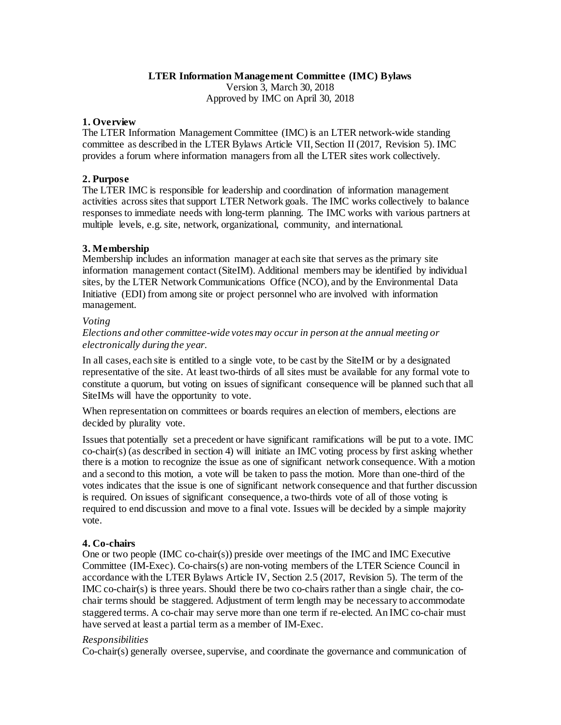#### **LTER Information Management Committee (IMC) Bylaws**

Version 3, March 30, 2018 Approved by IMC on April 30, 2018

### **1. Overview**

The LTER Information Management Committee (IMC) is an LTER network-wide standing committee as described in the LTER Bylaws Article VII, Section II (2017, Revision 5). IMC provides a forum where information managers from all the LTER sites work collectively.

## **2. Purpose**

The LTER IMC is responsible for leadership and coordination of information management activities across sites that support LTER Network goals. The IMC works collectively to balance responses to immediate needs with long-term planning. The IMC works with various partners at multiple levels, e.g. site, network, organizational, community, and international.

# **3. Membership**

Membership includes an information manager at each site that serves as the primary site information management contact (SiteIM). Additional members may be identified by individual sites, by the LTER Network Communications Office (NCO), and by the Environmental Data Initiative (EDI) from among site or project personnel who are involved with information management.

#### *Voting*

*Elections and other committee-wide votes may occur in person at the annual meeting or electronically during the year.* 

In all cases, each site is entitled to a single vote, to be cast by the SiteIM or by a designated representative of the site. At least two-thirds of all sites must be available for any formal vote to constitute a quorum, but voting on issues of significant consequence will be planned such that all SiteIMs will have the opportunity to vote.

When representation on committees or boards requires an election of members, elections are decided by plurality vote.

Issues that potentially set a precedent or have significant ramifications will be put to a vote. IMC co-chair(s) (as described in section 4) will initiate an IMC voting process by first asking whether there is a motion to recognize the issue as one of significant network consequence. With a motion and a second to this motion, a vote will be taken to pass the motion. More than one-third of the votes indicates that the issue is one of significant network consequence and that further discussion is required. On issues of significant consequence, a two-thirds vote of all of those voting is required to end discussion and move to a final vote. Issues will be decided by a simple majority vote.

### **4. Co-chairs**

One or two people (IMC co-chair(s)) preside over meetings of the IMC and IMC Executive Committee (IM-Exec). Co-chairs(s) are non-voting members of the LTER Science Council in accordance with the LTER Bylaws Article IV, Section 2.5 (2017, Revision 5). The term of the IMC co-chair(s) is three years. Should there be two co-chairs rather than a single chair, the cochair terms should be staggered. Adjustment of term length may be necessary to accommodate staggered terms. A co-chair may serve more than one term if re-elected. An IMC co-chair must have served at least a partial term as a member of IM-Exec.

### *Responsibilities*

Co-chair(s) generally oversee, supervise, and coordinate the governance and communication of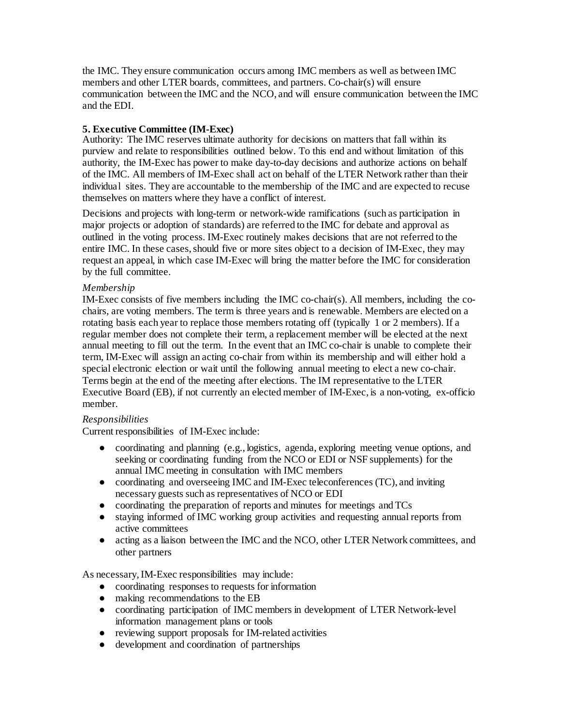the IMC. They ensure communication occurs among IMC members as well as between IMC members and other LTER boards, committees, and partners. Co-chair(s) will ensure communication between the IMC and the NCO, and will ensure communication between the IMC and the EDI.

# **5. Executive Committee (IM-Exec)**

Authority: The IMC reserves ultimate authority for decisions on matters that fall within its purview and relate to responsibilities outlined below. To this end and without limitation of this authority, the IM-Exec has power to make day-to-day decisions and authorize actions on behalf of the IMC. All members of IM-Exec shall act on behalf of the LTER Network rather than their individual sites. They are accountable to the membership of the IMC and are expected to recuse themselves on matters where they have a conflict of interest.

Decisions and projects with long-term or network-wide ramifications (such as participation in major projects or adoption of standards) are referred to the IMC for debate and approval as outlined in the voting process. IM-Exec routinely makes decisions that are not referred to the entire IMC. In these cases, should five or more sites object to a decision of IM-Exec, they may request an appeal, in which case IM-Exec will bring the matter before the IMC for consideration by the full committee.

# *Membership*

IM-Exec consists of five members including the IMC co-chair(s). All members, including the cochairs, are voting members. The term is three years and is renewable. Members are elected on a rotating basis each year to replace those members rotating off (typically 1 or 2 members). If a regular member does not complete their term, a replacement member will be elected at the next annual meeting to fill out the term. In the event that an IMC co-chair is unable to complete their term, IM-Exec will assign an acting co-chair from within its membership and will either hold a special electronic election or wait until the following annual meeting to elect a new co-chair. Terms begin at the end of the meeting after elections. The IM representative to the LTER Executive Board (EB), if not currently an elected member of IM-Exec, is a non-voting, ex-officio member.

# *Responsibilities*

Current responsibilities of IM-Exec include:

- coordinating and planning (e.g., logistics, agenda, exploring meeting venue options, and seeking or coordinating funding from the NCO or EDI or NSF supplements) for the annual IMC meeting in consultation with IMC members
- coordinating and overseeing IMC and IM-Exec teleconferences (TC), and inviting necessary guests such as representatives of NCO or EDI
- coordinating the preparation of reports and minutes for meetings and TCs
- staying informed of IMC working group activities and requesting annual reports from active committees
- acting as a liaison between the IMC and the NCO, other LTER Network committees, and other partners

As necessary, IM-Exec responsibilities may include:

- coordinating responses to requests for information
- making recommendations to the EB
- coordinating participation of IMC members in development of LTER Network-level information management plans or tools
- reviewing support proposals for IM-related activities
- development and coordination of partnerships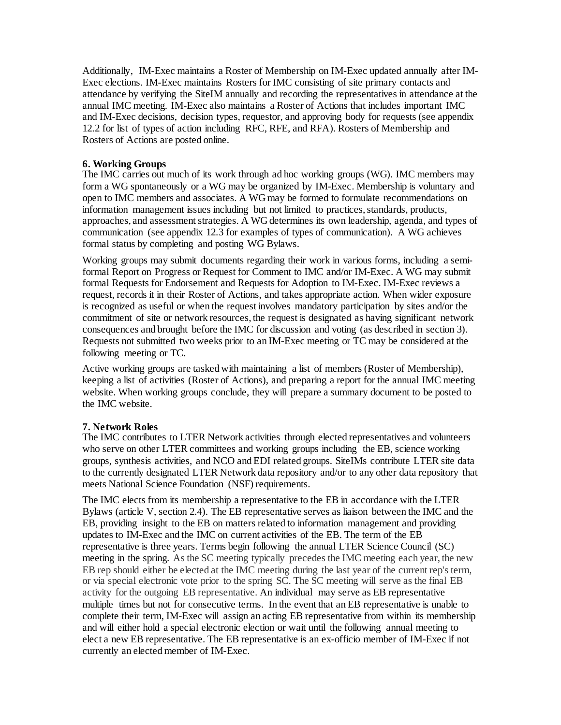Additionally, IM-Exec maintains a Roster of Membership on IM-Exec updated annually after IM-Exec elections. IM-Exec maintains Rosters for IMC consisting of site primary contacts and attendance by verifying the SiteIM annually and recording the representatives in attendance at the annual IMC meeting. IM-Exec also maintains a Roster of Actions that includes important IMC and IM-Exec decisions, decision types, requestor, and approving body for requests (see appendix 12.2 for list of types of action including RFC, RFE, and RFA). Rosters of Membership and Rosters of Actions are posted online.

### **6. Working Groups**

The IMC carries out much of its work through ad hoc working groups (WG). IMC members may form a WG spontaneously or a WG may be organized by IM-Exec. Membership is voluntary and open to IMC members and associates. A WG may be formed to formulate recommendations on information management issues including but not limited to practices, standards, products, approaches, and assessment strategies. A WG determines its own leadership, agenda, and types of communication (see appendix 12.3 for examples of types of communication). A WG achieves formal status by completing and posting WG Bylaws.

Working groups may submit documents regarding their work in various forms, including a semiformal Report on Progress or Request for Comment to IMC and/or IM-Exec. A WG may submit formal Requests for Endorsement and Requests for Adoption to IM-Exec. IM-Exec reviews a request, records it in their Roster of Actions, and takes appropriate action. When wider exposure is recognized as useful or when the request involves mandatory participation by sites and/or the commitment of site or network resources, the request is designated as having significant network consequences and brought before the IMC for discussion and voting (as described in section 3). Requests not submitted two weeks prior to an IM-Exec meeting or TC may be considered at the following meeting or TC.

Active working groups are tasked with maintaining a list of members (Roster of Membership), keeping a list of activities (Roster of Actions), and preparing a report for the annual IMC meeting website. When working groups conclude, they will prepare a summary document to be posted to the IMC website.

### **7. Network Roles**

The IMC contributes to LTER Network activities through elected representatives and volunteers who serve on other LTER committees and working groups including the EB, science working groups, synthesis activities, and NCO and EDI related groups. SiteIMs contribute LTER site data to the currently designated LTER Network data repository and/or to any other data repository that meets National Science Foundation (NSF) requirements.

The IMC elects from its membership a representative to the EB in accordance with the LTER Bylaws (article V, section 2.4). The EB representative serves as liaison between the IMC and the EB, providing insight to the EB on matters related to information management and providing updates to IM-Exec and the IMC on current activities of the EB. The term of the EB representative is three years. Terms begin following the annual LTER Science Council (SC) meeting in the spring. As the SC meeting typically precedes the IMC meeting each year, the new EB rep should either be elected at the IMC meeting during the last year of the current rep's term, or via special electronic vote prior to the spring SC. The SC meeting will serve as the final EB activity for the outgoing EB representative. An individual may serve as EB representative multiple times but not for consecutive terms. In the event that an EB representative is unable to complete their term, IM-Exec will assign an acting EB representative from within its membership and will either hold a special electronic election or wait until the following annual meeting to elect a new EB representative. The EB representative is an ex-officio member of IM-Exec if not currently an elected member of IM-Exec.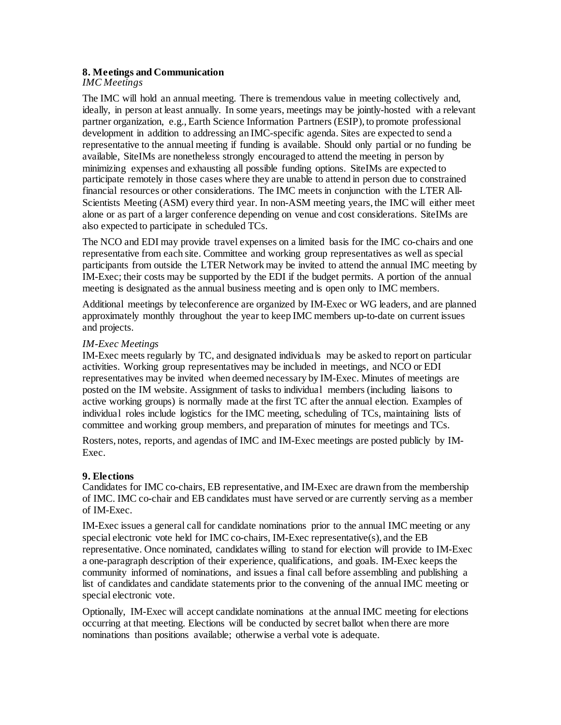#### **8. Meetings and Communication**

#### *IMC Meetings*

The IMC will hold an annual meeting. There is tremendous value in meeting collectively and, ideally, in person at least annually. In some years, meetings may be jointly-hosted with a relevant partner organization, e.g., Earth Science Information Partners (ESIP), to promote professional development in addition to addressing an IMC-specific agenda. Sites are expected to send a representative to the annual meeting if funding is available. Should only partial or no funding be available, SiteIMs are nonetheless strongly encouraged to attend the meeting in person by minimizing expenses and exhausting all possible funding options. SiteIMs are expected to participate remotely in those cases where they are unable to attend in person due to constrained financial resources or other considerations. The IMC meets in conjunction with the LTER All-Scientists Meeting (ASM) every third year. In non-ASM meeting years, the IMC will either meet alone or as part of a larger conference depending on venue and cost considerations. SiteIMs are also expected to participate in scheduled TCs.

The NCO and EDI may provide travel expenses on a limited basis for the IMC co-chairs and one representative from each site. Committee and working group representatives as well as special participants from outside the LTER Network may be invited to attend the annual IMC meeting by IM-Exec; their costs may be supported by the EDI if the budget permits. A portion of the annual meeting is designated as the annual business meeting and is open only to IMC members.

Additional meetings by teleconference are organized by IM-Exec or WG leaders, and are planned approximately monthly throughout the year to keep IMC members up-to-date on current issues and projects.

#### *IM-Exec Meetings*

IM-Exec meets regularly by TC, and designated individuals may be asked to report on particular activities. Working group representatives may be included in meetings, and NCO or EDI representatives may be invited when deemed necessary by IM-Exec. Minutes of meetings are posted on the IM website. Assignment of tasks to individual members (including liaisons to active working groups) is normally made at the first TC after the annual election. Examples of individual roles include logistics for the IMC meeting, scheduling of TCs, maintaining lists of committee and working group members, and preparation of minutes for meetings and TCs.

Rosters, notes, reports, and agendas of IMC and IM-Exec meetings are posted publicly by IM-Exec.

### **9. Elections**

Candidates for IMC co-chairs, EB representative, and IM-Exec are drawn from the membership of IMC. IMC co-chair and EB candidates must have served or are currently serving as a member of IM-Exec.

IM-Exec issues a general call for candidate nominations prior to the annual IMC meeting or any special electronic vote held for IMC co-chairs, IM-Exec representative(s), and the EB representative. Once nominated, candidates willing to stand for election will provide to IM-Exec a one-paragraph description of their experience, qualifications, and goals. IM-Exec keeps the community informed of nominations, and issues a final call before assembling and publishing a list of candidates and candidate statements prior to the convening of the annual IMC meeting or special electronic vote.

Optionally, IM-Exec will accept candidate nominations at the annual IMC meeting for elections occurring at that meeting. Elections will be conducted by secret ballot when there are more nominations than positions available; otherwise a verbal vote is adequate.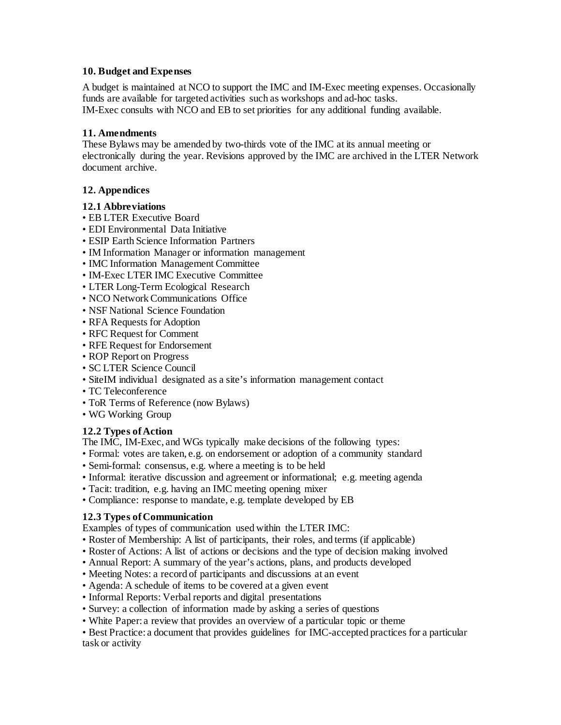### **10. Budget and Expenses**

A budget is maintained at NCO to support the IMC and IM-Exec meeting expenses. Occasionally funds are available for targeted activities such as workshops and ad-hoc tasks. IM-Exec consults with NCO and EB to set priorities for any additional funding available.

## **11. Amendments**

These Bylaws may be amended by two-thirds vote of the IMC at its annual meeting or electronically during the year. Revisions approved by the IMC are archived in the LTER Network document archive.

# **12. Appendices**

## **12.1 Abbreviations**

- EB LTER Executive Board
- EDI Environmental Data Initiative
- ESIP Earth Science Information Partners
- IM Information Manager or information management
- IMC Information Management Committee
- IM-Exec LTER IMC Executive Committee
- LTER Long-Term Ecological Research
- NCO Network Communications Office
- NSF National Science Foundation
- RFA Requests for Adoption
- RFC Request for Comment
- RFE Request for Endorsement
- ROP Report on Progress
- SC LTER Science Council
- SiteIM individual designated as a site's information management contact
- TC Teleconference
- ToR Terms of Reference (now Bylaws)
- WG Working Group

# **12.2 Types of Action**

The IMC, IM-Exec, and WGs typically make decisions of the following types:

- Formal: votes are taken, e.g. on endorsement or adoption of a community standard
- Semi-formal: consensus, e.g. where a meeting is to be held
- Informal: iterative discussion and agreement or informational; e.g. meeting agenda
- Tacit: tradition, e.g. having an IMC meeting opening mixer
- Compliance: response to mandate, e.g. template developed by EB

# **12.3 Types of Communication**

Examples of types of communication used within the LTER IMC:

- Roster of Membership: A list of participants, their roles, and terms (if applicable)
- Roster of Actions: A list of actions or decisions and the type of decision making involved
- Annual Report: A summary of the year's actions, plans, and products developed
- Meeting Notes: a record of participants and discussions at an event
- Agenda: A schedule of items to be covered at a given event
- Informal Reports: Verbal reports and digital presentations
- Survey: a collection of information made by asking a series of questions
- White Paper: a review that provides an overview of a particular topic or theme

• Best Practice: a document that provides guidelines for IMC-accepted practices for a particular task or activity